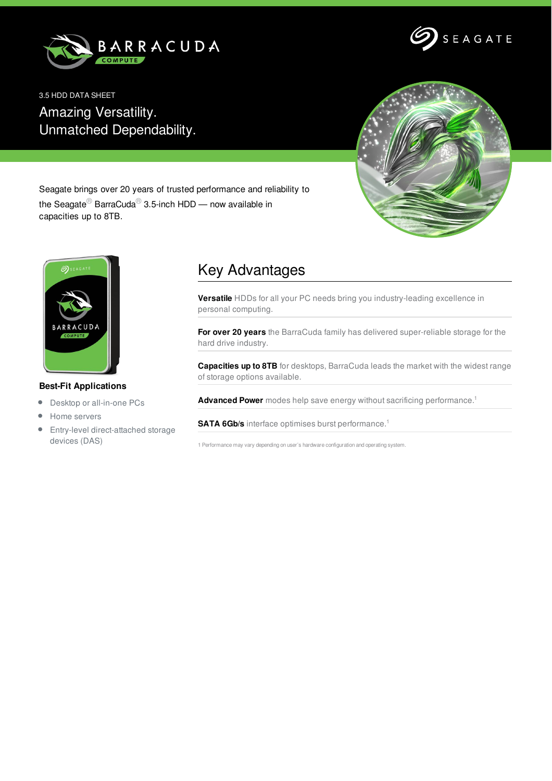



3.5 HDD DATA SHEET Amazing Versatility. Unmatched Dependability.



Seagate brings over 20 years of trusted performance and reliability to the Seagate<sup>®</sup> BarraCuda<sup>®</sup> 3.5-inch HDD — now available in capacities up to 8TB.



## **Best-Fit Applications**

- Desktop or all-in-one PCs  $\bullet$
- Home servers
- Entry-level direct-attached storage devices (DAS)

## Key Advantages

**Versatile** HDDs for all your PC needs bring you industry-leading excellence in personal computing.

**For over 20 years** the BarraCuda family has delivered super-reliable storage for the hard drive industry.

**Capacities up to 8TB** for desktops, BarraCuda leads the market with the widest range of storage options available.

**Advanced Power** modes help save energy without sacrificing performance. 1

**SATA 6Gb/s** interface optimises burst performance. 1

1 Performance may vary depending on user's hardware configuration and operating system.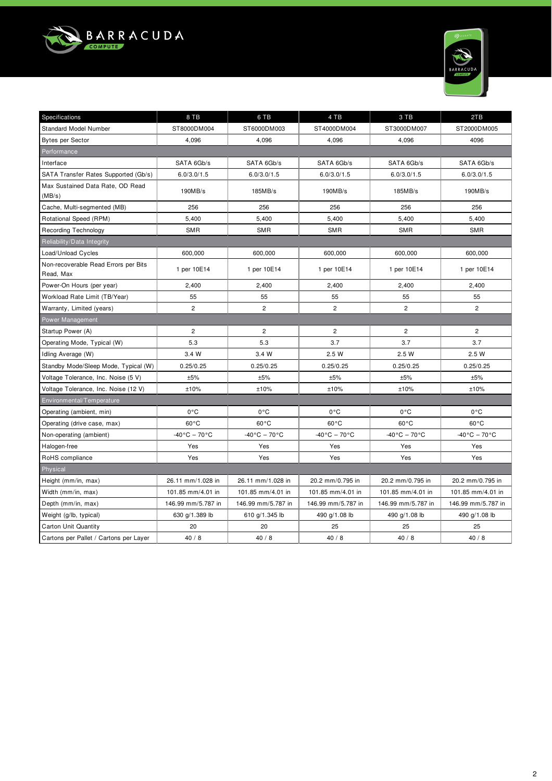



| Specifications                                    | 8 TB                            | 6 TB                         | 4 TB                         | 3 TB                         | 2TB                          |
|---------------------------------------------------|---------------------------------|------------------------------|------------------------------|------------------------------|------------------------------|
| <b>Standard Model Number</b>                      | ST8000DM004                     | ST6000DM003                  | ST4000DM004                  | ST3000DM007                  | ST2000DM005                  |
| <b>Bytes per Sector</b>                           | 4,096                           | 4,096                        | 4,096                        | 4,096                        | 4096                         |
| Performance                                       |                                 |                              |                              |                              |                              |
| Interface                                         | SATA 6Gb/s                      | SATA 6Gb/s                   | SATA 6Gb/s                   | SATA 6Gb/s                   | SATA 6Gb/s                   |
| SATA Transfer Rates Supported (Gb/s)              | 6.0/3.0/1.5                     | 6.0/3.0/1.5                  | 6.0/3.0/1.5                  | 6.0/3.0/1.5                  | 6.0/3.0/1.5                  |
| Max Sustained Data Rate, OD Read<br>(MB/s)        | 190MB/s                         | 185MB/s                      | 190MB/s                      | 185MB/s                      | 190MB/s                      |
| Cache, Multi-segmented (MB)                       | 256                             | 256                          | 256                          | 256                          | 256                          |
| Rotational Speed (RPM)                            | 5,400                           | 5,400                        | 5,400                        | 5,400                        | 5,400                        |
| <b>Recording Technology</b>                       | <b>SMR</b>                      | <b>SMR</b>                   | <b>SMR</b>                   | <b>SMR</b>                   | <b>SMR</b>                   |
| Reliability/Data Integrity                        |                                 |                              |                              |                              |                              |
| Load/Unload Cycles                                | 600,000                         | 600,000                      | 600,000                      | 600,000                      | 600,000                      |
| Non-recoverable Read Errors per Bits<br>Read, Max | 1 per 10E14                     | 1 per 10E14                  | 1 per 10E14                  | 1 per 10E14                  | 1 per 10E14                  |
| Power-On Hours (per year)                         | 2.400                           | 2.400                        | 2,400                        | 2.400                        | 2,400                        |
| Workload Rate Limit (TB/Year)                     | 55                              | 55                           | 55                           | 55                           | 55                           |
| Warranty, Limited (years)                         | $\overline{2}$                  | $\overline{2}$               | $\overline{2}$               | $\overline{c}$               | $\overline{2}$               |
| Power Management                                  |                                 |                              |                              |                              |                              |
| Startup Power (A)                                 | $\overline{c}$                  | $\overline{c}$               | $\overline{c}$               | $\overline{c}$               | $\mathbf{2}$                 |
| Operating Mode, Typical (W)                       | 5.3                             | 5.3                          | 3.7                          | 3.7                          | 3.7                          |
| Idling Average (W)                                | 3.4W                            | 3.4 W                        | 2.5W                         | 2.5 W                        | 2.5 W                        |
| Standby Mode/Sleep Mode, Typical (W)              | 0.25/0.25                       | 0.25/0.25                    | 0.25/0.25                    | 0.25/0.25                    | 0.25/0.25                    |
| Voltage Tolerance, Inc. Noise (5 V)               | ±5%                             | ±5%                          | ±5%                          | ±5%                          | ±5%                          |
| Voltage Tolerance, Inc. Noise (12 V)              | ±10%                            | ±10%                         | ±10%                         | ±10%                         | ±10%                         |
| Environmental/Temperature                         |                                 |                              |                              |                              |                              |
| Operating (ambient, min)                          | $0^{\circ}$ C                   | 0°C                          | 0°C                          | $0^{\circ}$ C                | 0°C                          |
| Operating (drive case, max)                       | $60^{\circ}$ C                  | $60^{\circ}$ C               | $60^{\circ}$ C               | $60^{\circ}$ C               | $60^{\circ}$ C               |
| Non-operating (ambient)                           | $-40\degree$ C - 70 $\degree$ C | $-40\degree C - 70\degree C$ | $-40\degree C - 70\degree C$ | $-40\degree C - 70\degree C$ | $-40\degree C - 70\degree C$ |
| Halogen-free                                      | Yes                             | Yes                          | Yes                          | Yes                          | Yes                          |
| RoHS compliance                                   | Yes                             | Yes                          | Yes                          | Yes                          | Yes                          |
| Physical                                          |                                 |                              |                              |                              |                              |
| Height (mm/in, max)                               | 26.11 mm/1.028 in               | 26.11 mm/1.028 in            | 20.2 mm/0.795 in             | 20.2 mm/0.795 in             | 20.2 mm/0.795 in             |
| Width (mm/in, max)                                | 101.85 mm/4.01 in               | 101.85 mm/4.01 in            | 101.85 mm/4.01 in            | 101.85 mm/4.01 in            | 101.85 mm/4.01 in            |
| Depth (mm/in, max)                                | 146.99 mm/5.787 in              | 146.99 mm/5.787 in           | 146.99 mm/5.787 in           | 146.99 mm/5.787 in           | 146.99 mm/5.787 in           |
| Weight (g/lb, typical)                            | 630 g/1.389 lb                  | 610 g/1.345 lb               | 490 g/1.08 lb                | 490 g/1.08 lb                | 490 g/1.08 lb                |
| <b>Carton Unit Quantity</b>                       | 20                              | 20                           | 25                           | 25                           | 25                           |
| Cartons per Pallet / Cartons per Layer            | 40/8                            | 40/8                         | 40/8                         | 40/8                         | 40/8                         |